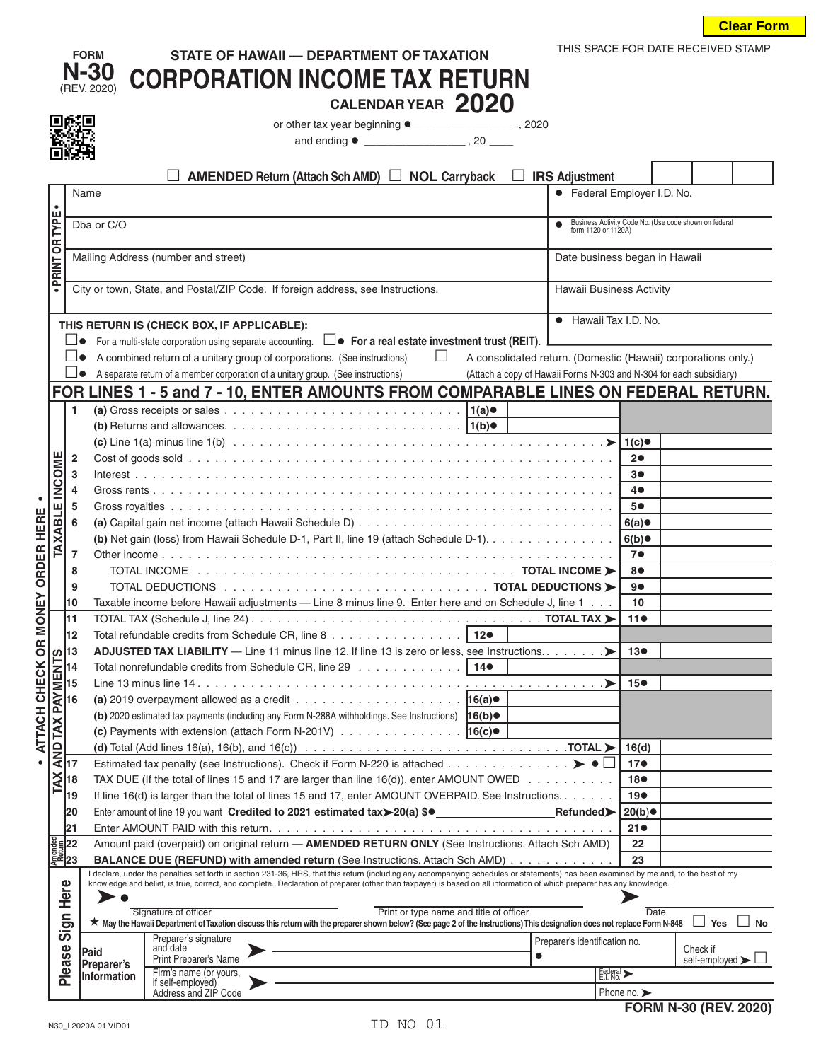| Clear Form |
|------------|
|------------|

|                |                                                | <b>FORM</b>             | STATE OF HAWAII - DEPARTMENT OF TAXATION                                                                                                                                                                                                                                    |                                                                              | THIS SPACE FOR DATE RECEIVED STAMP |                                                               |  |  |
|----------------|------------------------------------------------|-------------------------|-----------------------------------------------------------------------------------------------------------------------------------------------------------------------------------------------------------------------------------------------------------------------------|------------------------------------------------------------------------------|------------------------------------|---------------------------------------------------------------|--|--|
|                |                                                | N-30                    | <b>CORPORATION INCOME TAX RETURN</b>                                                                                                                                                                                                                                        |                                                                              |                                    |                                                               |  |  |
|                |                                                | (REV. 2020)             |                                                                                                                                                                                                                                                                             |                                                                              |                                    |                                                               |  |  |
|                |                                                |                         | CALENDAR YEAR 2020                                                                                                                                                                                                                                                          |                                                                              |                                    |                                                               |  |  |
|                |                                                |                         |                                                                                                                                                                                                                                                                             |                                                                              |                                    |                                                               |  |  |
|                |                                                |                         |                                                                                                                                                                                                                                                                             |                                                                              |                                    |                                                               |  |  |
|                |                                                |                         |                                                                                                                                                                                                                                                                             |                                                                              |                                    |                                                               |  |  |
|                |                                                | Name                    | AMENDED Return (Attach Sch AMD) □ NOL Carryback                                                                                                                                                                                                                             | $\Box$ IRS Adjustment                                                        | • Federal Employer I.D. No.        |                                                               |  |  |
|                |                                                |                         |                                                                                                                                                                                                                                                                             |                                                                              |                                    |                                                               |  |  |
|                |                                                | Dba or C/O              |                                                                                                                                                                                                                                                                             | Business Activity Code No. (Use code shown on federal<br>form 1120 or 1120A) |                                    |                                                               |  |  |
|                |                                                |                         |                                                                                                                                                                                                                                                                             |                                                                              |                                    |                                                               |  |  |
|                | · PRINT OR TYPE                                |                         | Mailing Address (number and street)<br>Date business began in Hawaii                                                                                                                                                                                                        |                                                                              |                                    |                                                               |  |  |
|                |                                                |                         | City or town, State, and Postal/ZIP Code. If foreign address, see Instructions.                                                                                                                                                                                             |                                                                              | <b>Hawaii Business Activity</b>    |                                                               |  |  |
|                |                                                |                         | THIS RETURN IS (CHECK BOX, IF APPLICABLE):                                                                                                                                                                                                                                  |                                                                              | • Hawaii Tax I.D. No.              |                                                               |  |  |
|                |                                                |                         | For a multi-state corporation using separate accounting. $\square \bullet \bullet$ For a real estate investment trust (REIT).                                                                                                                                               |                                                                              |                                    |                                                               |  |  |
|                |                                                |                         | $\Box$<br>A combined return of a unitary group of corporations. (See instructions)                                                                                                                                                                                          |                                                                              |                                    | A consolidated return. (Domestic (Hawaii) corporations only.) |  |  |
|                |                                                |                         | A separate return of a member corporation of a unitary group. (See instructions)<br>(Attach a copy of Hawaii Forms N-303 and N-304 for each subsidiary)                                                                                                                     |                                                                              |                                    |                                                               |  |  |
|                |                                                |                         | FOR LINES 1 - 5 and 7 - 10, ENTER AMOUNTS FROM COMPARABLE LINES ON FEDERAL RETURN.                                                                                                                                                                                          |                                                                              |                                    |                                                               |  |  |
|                |                                                | 1                       |                                                                                                                                                                                                                                                                             |                                                                              |                                    |                                                               |  |  |
|                |                                                |                         |                                                                                                                                                                                                                                                                             |                                                                              |                                    |                                                               |  |  |
|                |                                                | $\overline{\mathbf{2}}$ |                                                                                                                                                                                                                                                                             |                                                                              | $2\bullet$                         |                                                               |  |  |
|                | INCOME                                         | 3                       |                                                                                                                                                                                                                                                                             |                                                                              | 3 <sup>o</sup>                     |                                                               |  |  |
|                |                                                | 4                       |                                                                                                                                                                                                                                                                             |                                                                              | 4●                                 |                                                               |  |  |
|                | Щ                                              | 5                       |                                                                                                                                                                                                                                                                             |                                                                              | 5●                                 |                                                               |  |  |
|                |                                                | 6                       |                                                                                                                                                                                                                                                                             |                                                                              |                                    |                                                               |  |  |
| HERE           | <b>TAXAB</b>                                   |                         | (b) Net gain (loss) from Hawaii Schedule D-1, Part II, line 19 (attach Schedule D-1). 6(b)                                                                                                                                                                                  |                                                                              |                                    |                                                               |  |  |
| ORDER          |                                                | $\overline{7}$          |                                                                                                                                                                                                                                                                             |                                                                              | 7 <sup>o</sup>                     |                                                               |  |  |
|                |                                                | 8                       |                                                                                                                                                                                                                                                                             |                                                                              | 8●                                 |                                                               |  |  |
|                |                                                | 9                       | TOTAL DEDUCTIONS And a series are a series and series are a series and series and series are series to the series of $\blacktriangleright$                                                                                                                                  |                                                                              | 90                                 |                                                               |  |  |
|                | l10                                            |                         | Taxable income before Hawaii adjustments - Line 8 minus line 9. Enter here and on Schedule J, line 1                                                                                                                                                                        |                                                                              | 10                                 |                                                               |  |  |
| <b>MONEY</b>   | 11                                             |                         |                                                                                                                                                                                                                                                                             |                                                                              | 110                                |                                                               |  |  |
| $\overline{6}$ | 12                                             |                         |                                                                                                                                                                                                                                                                             |                                                                              |                                    |                                                               |  |  |
|                |                                                |                         | <b>ADJUSTED TAX LIABILITY</b> — Line 11 minus line 12. If line 13 is zero or less, see Instructions. $\dots$ . $\dots$                                                                                                                                                      |                                                                              | 13 <sup>o</sup>                    |                                                               |  |  |
|                | <b>PAYMENTS</b><br><b>PAYMENTS</b><br>16<br>16 |                         | Total nonrefundable credits from Schedule CR, line 29 14.                                                                                                                                                                                                                   |                                                                              |                                    |                                                               |  |  |
|                |                                                |                         | (a) 2019 overpayment allowed as a credit $\ldots \ldots \ldots \ldots \ldots \ldots \ldots$                                                                                                                                                                                 |                                                                              | 15 <sup>o</sup>                    |                                                               |  |  |
|                |                                                |                         | (b) 2020 estimated tax payments (including any Form N-288A withholdings. See Instructions) 16(b) .                                                                                                                                                                          |                                                                              |                                    |                                                               |  |  |
|                | TAX                                            |                         | (c) Payments with extension (attach Form N-201V) $\ldots \ldots \ldots \ldots \ldots$                                                                                                                                                                                       |                                                                              |                                    |                                                               |  |  |
| ATTACH CHECK   |                                                |                         | (d) Total (Add lines 16(a), 16(b), and 16(c)) $\ldots \ldots \ldots \ldots \ldots \ldots \ldots \ldots \ldots \ldots \ldots \ldots$                                                                                                                                         |                                                                              | 16(d)                              |                                                               |  |  |
|                | AND<br>17                                      |                         | Estimated tax penalty (see Instructions). Check if Form N-220 is attached $\triangleright\ \bullet\ \square$                                                                                                                                                                |                                                                              | 17 <sup>o</sup>                    |                                                               |  |  |
|                | TAX<br>18                                      |                         | TAX DUE (If the total of lines 15 and 17 are larger than line $16(d)$ ), enter AMOUNT OWED $\dots \dots \dots$                                                                                                                                                              |                                                                              | 18●                                |                                                               |  |  |
|                | 19                                             |                         | If line 16(d) is larger than the total of lines 15 and 17, enter AMOUNT OVERPAID. See Instructions.                                                                                                                                                                         |                                                                              | 19●                                |                                                               |  |  |
|                | 20                                             |                         |                                                                                                                                                                                                                                                                             |                                                                              | 20(b)                              |                                                               |  |  |
|                | 21                                             |                         |                                                                                                                                                                                                                                                                             |                                                                              | 21●                                |                                                               |  |  |
|                | $\frac{8}{5}$ $\frac{22}{5}$                   |                         | Amount paid (overpaid) on original return - AMENDED RETURN ONLY (See Instructions. Attach Sch AMD)                                                                                                                                                                          |                                                                              | 22                                 |                                                               |  |  |
|                |                                                |                         | <b>BALANCE DUE (REFUND) with amended return (See Instructions. Attach Sch AMD)</b><br>I declare, under the penalties set forth in section 231-36, HRS, that this return (including any accompanying schedules or statements) has been examined by me and, to the best of my |                                                                              | 23                                 |                                                               |  |  |
|                |                                                |                         | knowledge and belief, is true, correct, and complete. Declaration of preparer (other than taxpayer) is based on all information of which preparer has any knowledge.                                                                                                        |                                                                              |                                    |                                                               |  |  |
|                | Here                                           |                         | Signature of officer<br>Print or type name and title of officer                                                                                                                                                                                                             |                                                                              | Date                               |                                                               |  |  |
|                | Sign                                           |                         | ★ May the Hawaii Department of Taxation discuss this return with the preparer shown below? (See page 2 of the Instructions) This designation does not replace Form N-848 2 Yes No                                                                                           |                                                                              |                                    |                                                               |  |  |
|                |                                                |                         | Preparer's signature<br>and date                                                                                                                                                                                                                                            | Preparer's identification no.                                                |                                    | Check if                                                      |  |  |
|                | Please                                         | Paid<br>Preparer's      | Print Preparer's Name                                                                                                                                                                                                                                                       |                                                                              |                                    | self-employed $\blacktriangleright$ $\Box$                    |  |  |
|                |                                                | <b>Information</b>      | Firm's name (or yours,<br>if self-employed)                                                                                                                                                                                                                                 |                                                                              | Federal >                          |                                                               |  |  |
|                |                                                |                         | Address and ZIP Code                                                                                                                                                                                                                                                        |                                                                              | Phone no. $\blacktriangleright$    |                                                               |  |  |

**FORM N-30 (REV. 2020)**